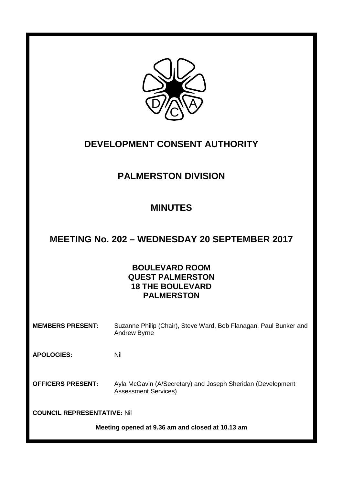

# **DEVELOPMENT CONSENT AUTHORITY**

# **PALMERSTON DIVISION**

# **MINUTES**

# **MEETING No. 202 – WEDNESDAY 20 SEPTEMBER 2017**

## **BOULEVARD ROOM QUEST PALMERSTON 18 THE BOULEVARD PALMERSTON**

**MEMBERS PRESENT:** Suzanne Philip (Chair), Steve Ward, Bob Flanagan, Paul Bunker and Andrew Byrne

**APOLOGIES:** Nil

**OFFICERS PRESENT:** Ayla McGavin (A/Secretary) and Joseph Sheridan (Development Assessment Services)

**COUNCIL REPRESENTATIVE:** Nil

**Meeting opened at 9.36 am and closed at 10.13 am**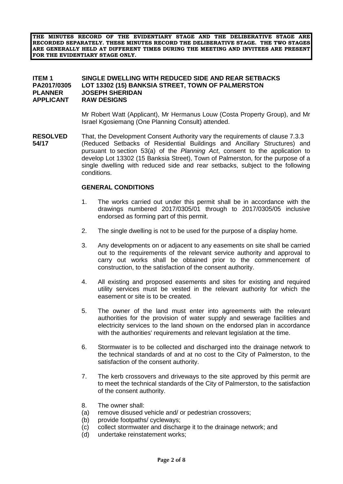**THE MINUTES RECORD OF THE EVIDENTIARY STAGE AND THE DELIBERATIVE STAGE ARE RECORDED SEPARATELY. THESE MINUTES RECORD THE DELIBERATIVE STAGE. THE TWO STAGES ARE GENERALLY HELD AT DIFFERENT TIMES DURING THE MEETING AND INVITEES ARE PRESENT FOR THE EVIDENTIARY STAGE ONLY.**

### **ITEM 1 SINGLE DWELLING WITH REDUCED SIDE AND REAR SETBACKS PA2017/0305 LOT 13302 (15) BANKSIA STREET, TOWN OF PALMERSTON PLANNER JOSEPH SHERIDAN RAW DESIGNS**

Mr Robert Watt (Applicant), Mr Hermanus Louw (Costa Property Group), and Mr Israel Kgosiemang (One Planning Consult) attended.

**RESOLVED** That, the Development Consent Authority vary the requirements of clause 7.3.3 **54/17** (Reduced Setbacks of Residential Buildings and Ancillary Structures) and pursuant to section 53(a) of the *Planning Act*, consent to the application to develop Lot 13302 (15 Banksia Street), Town of Palmerston, for the purpose of a single dwelling with reduced side and rear setbacks, subject to the following conditions.

#### **GENERAL CONDITIONS**

- 1. The works carried out under this permit shall be in accordance with the drawings numbered 2017/0305/01 through to 2017/0305/05 inclusive endorsed as forming part of this permit.
- 2. The single dwelling is not to be used for the purpose of a display home.
- 3. Any developments on or adjacent to any easements on site shall be carried out to the requirements of the relevant service authority and approval to carry out works shall be obtained prior to the commencement of construction, to the satisfaction of the consent authority.
- 4. All existing and proposed easements and sites for existing and required utility services must be vested in the relevant authority for which the easement or site is to be created.
- 5. The owner of the land must enter into agreements with the relevant authorities for the provision of water supply and sewerage facilities and electricity services to the land shown on the endorsed plan in accordance with the authorities' requirements and relevant legislation at the time.
- 6. Stormwater is to be collected and discharged into the drainage network to the technical standards of and at no cost to the City of Palmerston, to the satisfaction of the consent authority.
- 7. The kerb crossovers and driveways to the site approved by this permit are to meet the technical standards of the City of Palmerston, to the satisfaction of the consent authority.
- 8. The owner shall:
- (a) remove disused vehicle and/ or pedestrian crossovers;
- (b) provide footpaths/ cycleways;
- (c) collect stormwater and discharge it to the drainage network; and
- (d) undertake reinstatement works;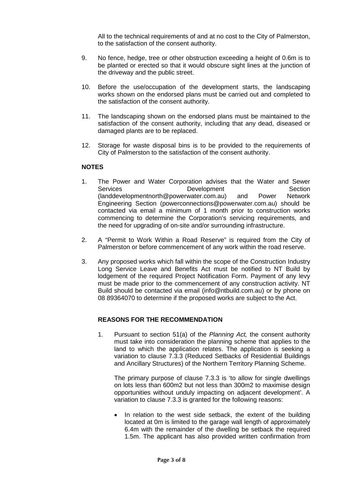All to the technical requirements of and at no cost to the City of Palmerston, to the satisfaction of the consent authority.

- 9. No fence, hedge, tree or other obstruction exceeding a height of 0.6m is to be planted or erected so that it would obscure sight lines at the junction of the driveway and the public street.
- 10. Before the use/occupation of the development starts, the landscaping works shown on the endorsed plans must be carried out and completed to the satisfaction of the consent authority.
- 11. The landscaping shown on the endorsed plans must be maintained to the satisfaction of the consent authority, including that any dead, diseased or damaged plants are to be replaced.
- 12. Storage for waste disposal bins is to be provided to the requirements of City of Palmerston to the satisfaction of the consent authority.

#### **NOTES**

- 1. The Power and Water Corporation advises that the Water and Sewer Services **Section**<br>
(landdevelopmentnorth@powerwater.com.au) and Power Network (landdevelopmentnorth@powerwater.com.au) and Engineering Section (powerconnections@powerwater.com.au) should be contacted via email a minimum of 1 month prior to construction works commencing to determine the Corporation's servicing requirements, and the need for upgrading of on-site and/or surrounding infrastructure.
- 2. A "Permit to Work Within a Road Reserve" is required from the City of Palmerston or before commencement of any work within the road reserve.
- 3. Any proposed works which fall within the scope of the Construction Industry Long Service Leave and Benefits Act must be notified to NT Build by lodgement of the required Project Notification Form. Payment of any levy must be made prior to the commencement of any construction activity. NT Build should be contacted via email (info@ntbuild.com.au) or by phone on 08 89364070 to determine if the proposed works are subject to the Act.

### **REASONS FOR THE RECOMMENDATION**

1. Pursuant to section 51(a) of the *Planning Act,* the consent authority must take into consideration the planning scheme that applies to the land to which the application relates. The application is seeking a variation to clause 7.3.3 (Reduced Setbacks of Residential Buildings and Ancillary Structures) of the Northern Territory Planning Scheme.

The primary purpose of clause 7.3.3 is 'to allow for single dwellings on lots less than 600m2 but not less than 300m2 to maximise design opportunities without unduly impacting on adjacent development'. A variation to clause 7.3.3 is granted for the following reasons:

In relation to the west side setback, the extent of the building located at 0m is limited to the garage wall length of approximately 6.4m with the remainder of the dwelling be setback the required 1.5m. The applicant has also provided written confirmation from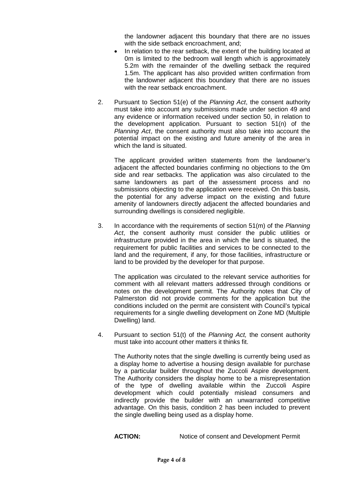the landowner adjacent this boundary that there are no issues with the side setback encroachment, and;

- In relation to the rear setback, the extent of the building located at 0m is limited to the bedroom wall length which is approximately 5.2m with the remainder of the dwelling setback the required 1.5m. The applicant has also provided written confirmation from the landowner adjacent this boundary that there are no issues with the rear sethack encroachment.
- 2. Pursuant to Section 51(e) of the *Planning Act*, the consent authority must take into account any submissions made under section 49 and any evidence or information received under section 50, in relation to the development application. Pursuant to section 51(n) of the *Planning Act*, the consent authority must also take into account the potential impact on the existing and future amenity of the area in which the land is situated.

The applicant provided written statements from the landowner's adjacent the affected boundaries confirming no objections to the 0m side and rear setbacks. The application was also circulated to the same landowners as part of the assessment process and no submissions objecting to the application were received. On this basis, the potential for any adverse impact on the existing and future amenity of landowners directly adjacent the affected boundaries and surrounding dwellings is considered negligible.

3. In accordance with the requirements of section 51(m) of the *Planning Act*, the consent authority must consider the public utilities or infrastructure provided in the area in which the land is situated, the requirement for public facilities and services to be connected to the land and the requirement, if any, for those facilities, infrastructure or land to be provided by the developer for that purpose.

The application was circulated to the relevant service authorities for comment with all relevant matters addressed through conditions or notes on the development permit. The Authority notes that City of Palmerston did not provide comments for the application but the conditions included on the permit are consistent with Council's typical requirements for a single dwelling development on Zone MD (Multiple Dwelling) land.

4. Pursuant to section 51(t) of the *Planning Act,* the consent authority must take into account other matters it thinks fit.

The Authority notes that the single dwelling is currently being used as a display home to advertise a housing design available for purchase by a particular builder throughout the Zuccoli Aspire development. The Authority considers the display home to be a misrepresentation of the type of dwelling available within the Zuccoli Aspire development which could potentially mislead consumers and indirectly provide the builder with an unwarranted competitive advantage. On this basis, condition 2 has been included to prevent the single dwelling being used as a display home.

**ACTION:** Notice of consent and Development Permit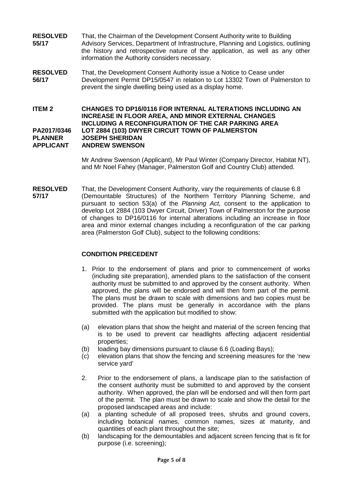- **RESOLVED** That, the Chairman of the Development Consent Authority write to Building<br>55/17 Advisory Services, Department of Infrastructure, Planning and Logistics, or **55/17** Advisory Services, Department of Infrastructure, Planning and Logistics, outlining the history and retrospective nature of the application, as well as any other information the Authority considers necessary.
- **RESOLVED** That, the Development Consent Authority issue a Notice to Cease under<br>**56/17** Development Permit DP15/0547 in relation to Lot 13302 Town of Palme **56/17** Development Permit DP15/0547 in relation to Lot 13302 Town of Palmerston to prevent the single dwelling being used as a display home.

#### **ITEM 2 CHANGES TO DP16/0116 FOR INTERNAL ALTERATIONS INCLUDING AN INCREASE IN FLOOR AREA, AND MINOR EXTERNAL CHANGES INCLUDING A RECONFIGURATION OF THE CAR PARKING AREA PA2017/0346 LOT 2884 (103) DWYER CIRCUIT TOWN OF PALMERSTON PLANNER JOSEPH SHERIDAN ANDREW SWENSON**

Mr Andrew Swenson (Applicant), Mr Paul Winter (Company Director, Habitat NT), and Mr Noel Fahey (Manager, Palmerston Golf and Country Club) attended.

**RESOLVED** That, the Development Consent Authority, vary the requirements of clause 6.8<br>57/17 (Demountable Structures) of the Northern Territory Planning Scheme **57/17** (Demountable Structures) of the Northern Territory Planning Scheme, and pursuant to section 53(a) of the *Planning Act,* consent to the application to develop Lot 2884 (103 Dwyer Circuit, Driver) Town of Palmerston for the purpose of changes to DP16/0116 for internal alterations including an increase in floor area and minor external changes including a reconfiguration of the car parking area (Palmerston Golf Club), subject to the following conditions:

### **CONDITION PRECEDENT**

- 1. Prior to the endorsement of plans and prior to commencement of works (including site preparation), amended plans to the satisfaction of the consent authority must be submitted to and approved by the consent authority. When approved, the plans will be endorsed and will then form part of the permit. The plans must be drawn to scale with dimensions and two copies must be provided. The plans must be generally in accordance with the plans submitted with the application but modified to show:
- (a) elevation plans that show the height and material of the screen fencing that is to be used to prevent car headlights affecting adjacent residential properties;
- (b) loading bay dimensions pursuant to clause 6.6 (Loading Bays);
- (c) elevation plans that show the fencing and screening measures for the 'new service yard'
- 2. Prior to the endorsement of plans, a landscape plan to the satisfaction of the consent authority must be submitted to and approved by the consent authority. When approved, the plan will be endorsed and will then form part of the permit. The plan must be drawn to scale and show the detail for the proposed landscaped areas and include:
- (a) a planting schedule of all proposed trees, shrubs and ground covers, including botanical names, common names, sizes at maturity, and quantities of each plant throughout the site;
- (b) landscaping for the demountables and adjacent screen fencing that is fit for purpose (i.e. screening);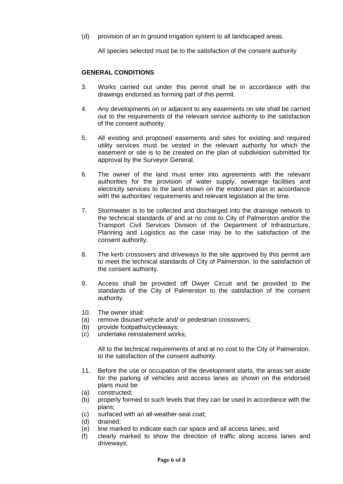(d) provision of an in ground irrigation system to all landscaped areas.

All species selected must be to the satisfaction of the consent authority

#### **GENERAL CONDITIONS**

- 3. Works carried out under this permit shall be in accordance with the drawings endorsed as forming part of this permit.
- 4. Any developments on or adjacent to any easements on site shall be carried out to the requirements of the relevant service authority to the satisfaction of the consent authority.
- 5. All existing and proposed easements and sites for existing and required utility services must be vested in the relevant authority for which the easement or site is to be created on the plan of subdivision submitted for approval by the Surveyor General.
- 6. The owner of the land must enter into agreements with the relevant authorities for the provision of water supply, sewerage facilities and electricity services to the land shown on the endorsed plan in accordance with the authorities' requirements and relevant legislation at the time.
- 7. Stormwater is to be collected and discharged into the drainage network to the technical standards of and at no cost to City of Palmerston and/or the Transport Civil Services Division of the Department of Infrastructure, Planning and Logistics as the case may be to the satisfaction of the consent authority.
- 8. The kerb crossovers and driveways to the site approved by this permit are to meet the technical standards of City of Palmerston, to the satisfaction of the consent authority.
- 9. Access shall be provided off Dwyer Circuit and be provided to the standards of the City of Palmerston to the satisfaction of the consent authority.
- 10. The owner shall:
- (a) remove disused vehicle and/ or pedestrian crossovers;
- (b) provide footpaths/cycleways;
- (c) undertake reinstatement works;

All to the technical requirements of and at no cost to the City of Palmerston, to the satisfaction of the consent authority.

- 11. Before the use or occupation of the development starts, the areas set aside for the parking of vehicles and access lanes as shown on the endorsed plans must be:
- (a) constructed;
- (b) properly formed to such levels that they can be used in accordance with the plans;
- (c) surfaced with an all-weather-seal coat;
- (d) drained;
- (e) line marked to indicate each car space and all access lanes; and
- (f) clearly marked to show the direction of traffic along access lanes and driveways;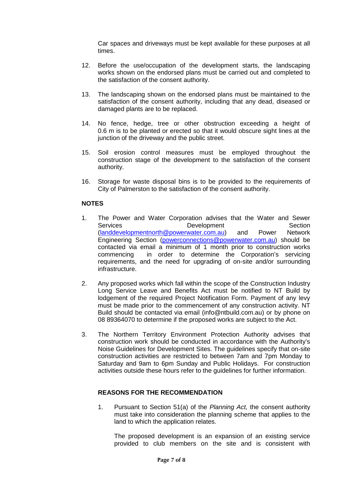Car spaces and driveways must be kept available for these purposes at all times.

- 12. Before the use/occupation of the development starts, the landscaping works shown on the endorsed plans must be carried out and completed to the satisfaction of the consent authority.
- 13. The landscaping shown on the endorsed plans must be maintained to the satisfaction of the consent authority, including that any dead, diseased or damaged plants are to be replaced.
- 14. No fence, hedge, tree or other obstruction exceeding a height of 0.6 m is to be planted or erected so that it would obscure sight lines at the junction of the driveway and the public street.
- 15. Soil erosion control measures must be employed throughout the construction stage of the development to the satisfaction of the consent authority.
- 16. Storage for waste disposal bins is to be provided to the requirements of City of Palmerston to the satisfaction of the consent authority.

### **NOTES**

- 1. The Power and Water Corporation advises that the Water and Sewer<br>Services **Development** Section Development Section [\(landdevelopmentnorth@powerwater.com.au\)](mailto:landdevelopmentnorth@powerwater.com.au) and Power Network Engineering Section [\(powerconnections@powerwater.com.au\)](mailto:powerconnections@powerwater.com.au) should be contacted via email a minimum of 1 month prior to construction works<br>commencing in order to determine the Corporation's servicing in order to determine the Corporation's servicing requirements, and the need for upgrading of on-site and/or surrounding infrastructure.
- 2. Any proposed works which fall within the scope of the Construction Industry Long Service Leave and Benefits Act must be notified to NT Build by lodgement of the required Project Notification Form. Payment of any levy must be made prior to the commencement of any construction activity. NT Build should be contacted via email (info@ntbuild.com.au) or by phone on 08 89364070 to determine if the proposed works are subject to the Act.
- 3. The Northern Territory Environment Protection Authority advises that construction work should be conducted in accordance with the Authority's Noise Guidelines for Development Sites. The guidelines specify that on-site construction activities are restricted to between 7am and 7pm Monday to Saturday and 9am to 6pm Sunday and Public Holidays. For construction activities outside these hours refer to the guidelines for further information.

#### **REASONS FOR THE RECOMMENDATION**

1. Pursuant to Section 51(a) of the *Planning Act,* the consent authority must take into consideration the planning scheme that applies to the land to which the application relates.

The proposed development is an expansion of an existing service provided to club members on the site and is consistent with